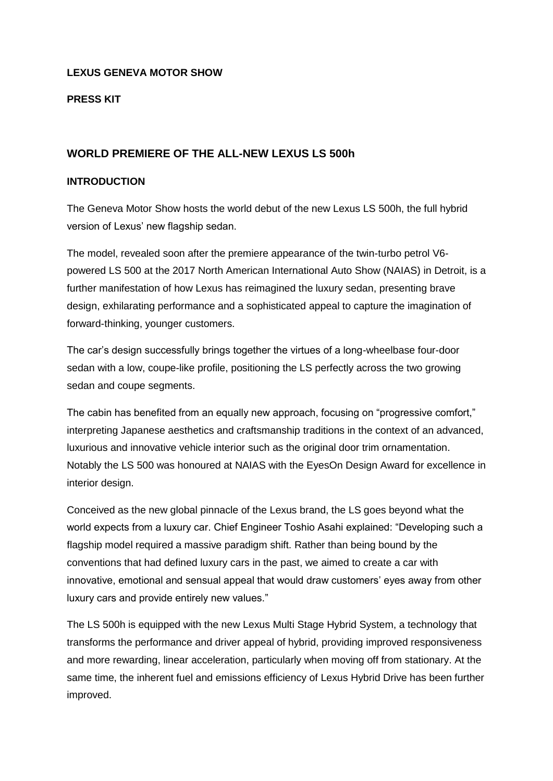## **LEXUS GENEVA MOTOR SHOW**

### **PRESS KIT**

## **WORLD PREMIERE OF THE ALL-NEW LEXUS LS 500h**

#### **INTRODUCTION**

The Geneva Motor Show hosts the world debut of the new Lexus LS 500h, the full hybrid version of Lexus' new flagship sedan.

The model, revealed soon after the premiere appearance of the twin-turbo petrol V6 powered LS 500 at the 2017 North American International Auto Show (NAIAS) in Detroit, is a further manifestation of how Lexus has reimagined the luxury sedan, presenting brave design, exhilarating performance and a sophisticated appeal to capture the imagination of forward-thinking, younger customers.

The car's design successfully brings together the virtues of a long-wheelbase four-door sedan with a low, coupe-like profile, positioning the LS perfectly across the two growing sedan and coupe segments.

The cabin has benefited from an equally new approach, focusing on "progressive comfort," interpreting Japanese aesthetics and craftsmanship traditions in the context of an advanced, luxurious and innovative vehicle interior such as the original door trim ornamentation. Notably the LS 500 was honoured at NAIAS with the EyesOn Design Award for excellence in interior design.

Conceived as the new global pinnacle of the Lexus brand, the LS goes beyond what the world expects from a luxury car. Chief Engineer Toshio Asahi explained: "Developing such a flagship model required a massive paradigm shift. Rather than being bound by the conventions that had defined luxury cars in the past, we aimed to create a car with innovative, emotional and sensual appeal that would draw customers' eyes away from other luxury cars and provide entirely new values."

The LS 500h is equipped with the new Lexus Multi Stage Hybrid System, a technology that transforms the performance and driver appeal of hybrid, providing improved responsiveness and more rewarding, linear acceleration, particularly when moving off from stationary. At the same time, the inherent fuel and emissions efficiency of Lexus Hybrid Drive has been further improved.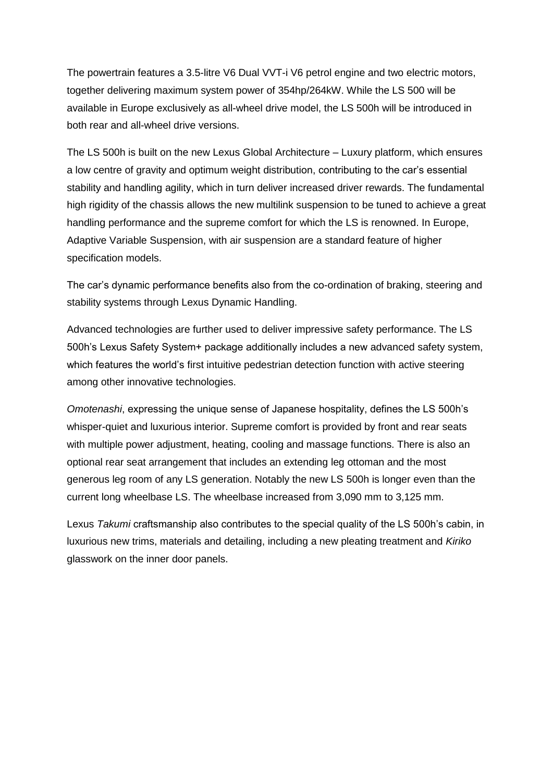The powertrain features a 3.5-litre V6 Dual VVT-i V6 petrol engine and two electric motors, together delivering maximum system power of 354hp/264kW. While the LS 500 will be available in Europe exclusively as all-wheel drive model, the LS 500h will be introduced in both rear and all-wheel drive versions.

The LS 500h is built on the new Lexus Global Architecture – Luxury platform, which ensures a low centre of gravity and optimum weight distribution, contributing to the car's essential stability and handling agility, which in turn deliver increased driver rewards. The fundamental high rigidity of the chassis allows the new multilink suspension to be tuned to achieve a great handling performance and the supreme comfort for which the LS is renowned. In Europe, Adaptive Variable Suspension, with air suspension are a standard feature of higher specification models.

The car's dynamic performance benefits also from the co-ordination of braking, steering and stability systems through Lexus Dynamic Handling.

Advanced technologies are further used to deliver impressive safety performance. The LS 500h's Lexus Safety System+ package additionally includes a new advanced safety system, which features the world's first intuitive pedestrian detection function with active steering among other innovative technologies.

*Omotenashi*, expressing the unique sense of Japanese hospitality, defines the LS 500h's whisper-quiet and luxurious interior. Supreme comfort is provided by front and rear seats with multiple power adjustment, heating, cooling and massage functions. There is also an optional rear seat arrangement that includes an extending leg ottoman and the most generous leg room of any LS generation. Notably the new LS 500h is longer even than the current long wheelbase LS. The wheelbase increased from 3,090 mm to 3,125 mm.

Lexus *Takumi* craftsmanship also contributes to the special quality of the LS 500h's cabin, in luxurious new trims, materials and detailing, including a new pleating treatment and *Kiriko* glasswork on the inner door panels.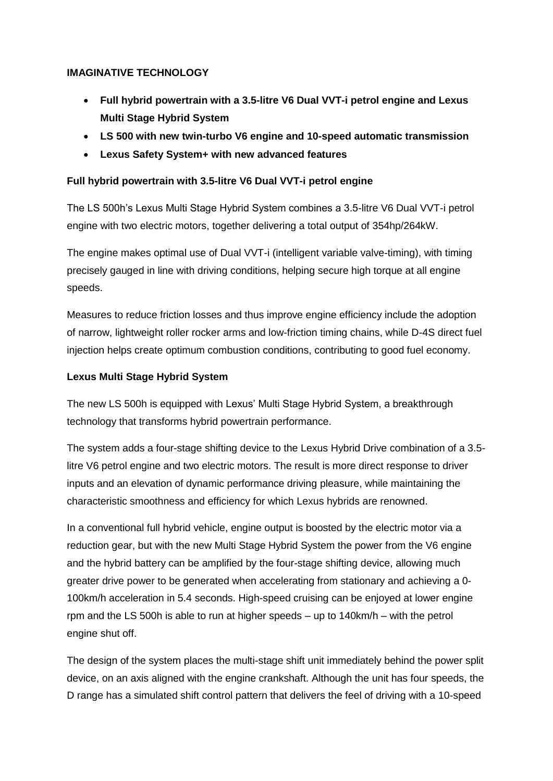# **IMAGINATIVE TECHNOLOGY**

- **Full hybrid powertrain with a 3.5-litre V6 Dual VVT-i petrol engine and Lexus Multi Stage Hybrid System**
- **LS 500 with new twin-turbo V6 engine and 10-speed automatic transmission**
- **Lexus Safety System+ with new advanced features**

# **Full hybrid powertrain with 3.5-litre V6 Dual VVT-i petrol engine**

The LS 500h's Lexus Multi Stage Hybrid System combines a 3.5-litre V6 Dual VVT-i petrol engine with two electric motors, together delivering a total output of 354hp/264kW.

The engine makes optimal use of Dual VVT-i (intelligent variable valve-timing), with timing precisely gauged in line with driving conditions, helping secure high torque at all engine speeds.

Measures to reduce friction losses and thus improve engine efficiency include the adoption of narrow, lightweight roller rocker arms and low-friction timing chains, while D-4S direct fuel injection helps create optimum combustion conditions, contributing to good fuel economy.

# **Lexus Multi Stage Hybrid System**

The new LS 500h is equipped with Lexus' Multi Stage Hybrid System, a breakthrough technology that transforms hybrid powertrain performance.

The system adds a four-stage shifting device to the Lexus Hybrid Drive combination of a 3.5 litre V6 petrol engine and two electric motors. The result is more direct response to driver inputs and an elevation of dynamic performance driving pleasure, while maintaining the characteristic smoothness and efficiency for which Lexus hybrids are renowned.

In a conventional full hybrid vehicle, engine output is boosted by the electric motor via a reduction gear, but with the new Multi Stage Hybrid System the power from the V6 engine and the hybrid battery can be amplified by the four-stage shifting device, allowing much greater drive power to be generated when accelerating from stationary and achieving a 0- 100km/h acceleration in 5.4 seconds. High-speed cruising can be enjoyed at lower engine rpm and the LS 500h is able to run at higher speeds – up to 140km/h – with the petrol engine shut off.

The design of the system places the multi-stage shift unit immediately behind the power split device, on an axis aligned with the engine crankshaft. Although the unit has four speeds, the D range has a simulated shift control pattern that delivers the feel of driving with a 10-speed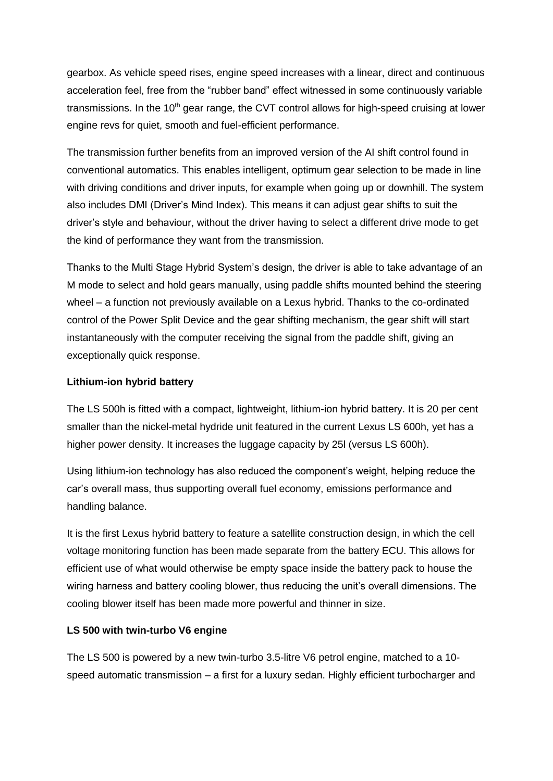gearbox. As vehicle speed rises, engine speed increases with a linear, direct and continuous acceleration feel, free from the "rubber band" effect witnessed in some continuously variable transmissions. In the 10<sup>th</sup> gear range, the CVT control allows for high-speed cruising at lower engine revs for quiet, smooth and fuel-efficient performance.

The transmission further benefits from an improved version of the AI shift control found in conventional automatics. This enables intelligent, optimum gear selection to be made in line with driving conditions and driver inputs, for example when going up or downhill. The system also includes DMI (Driver's Mind Index). This means it can adjust gear shifts to suit the driver's style and behaviour, without the driver having to select a different drive mode to get the kind of performance they want from the transmission.

Thanks to the Multi Stage Hybrid System's design, the driver is able to take advantage of an M mode to select and hold gears manually, using paddle shifts mounted behind the steering wheel – a function not previously available on a Lexus hybrid. Thanks to the co-ordinated control of the Power Split Device and the gear shifting mechanism, the gear shift will start instantaneously with the computer receiving the signal from the paddle shift, giving an exceptionally quick response.

#### **Lithium-ion hybrid battery**

The LS 500h is fitted with a compact, lightweight, lithium-ion hybrid battery. It is 20 per cent smaller than the nickel-metal hydride unit featured in the current Lexus LS 600h, yet has a higher power density. It increases the luggage capacity by 25l (versus LS 600h).

Using lithium-ion technology has also reduced the component's weight, helping reduce the car's overall mass, thus supporting overall fuel economy, emissions performance and handling balance.

It is the first Lexus hybrid battery to feature a satellite construction design, in which the cell voltage monitoring function has been made separate from the battery ECU. This allows for efficient use of what would otherwise be empty space inside the battery pack to house the wiring harness and battery cooling blower, thus reducing the unit's overall dimensions. The cooling blower itself has been made more powerful and thinner in size.

### **LS 500 with twin-turbo V6 engine**

The LS 500 is powered by a new twin-turbo 3.5-litre V6 petrol engine, matched to a 10 speed automatic transmission – a first for a luxury sedan. Highly efficient turbocharger and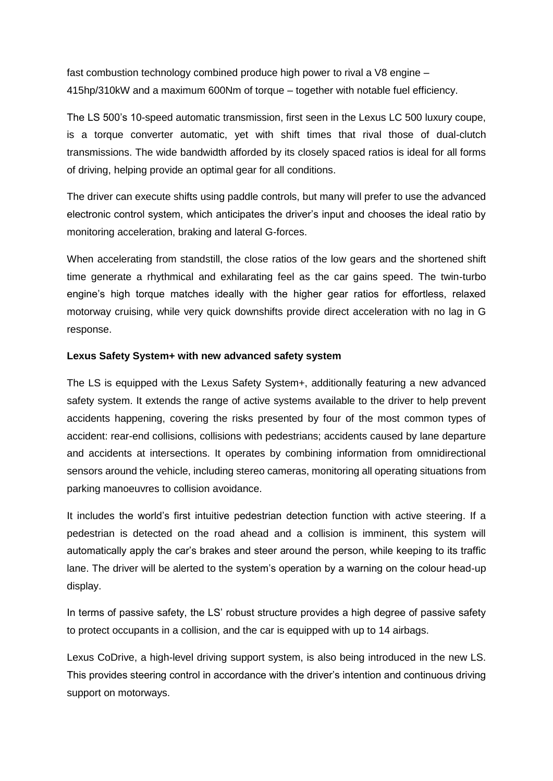fast combustion technology combined produce high power to rival a V8 engine – 415hp/310kW and a maximum 600Nm of torque – together with notable fuel efficiency.

The LS 500's 10-speed automatic transmission, first seen in the Lexus LC 500 luxury coupe, is a torque converter automatic, yet with shift times that rival those of dual-clutch transmissions. The wide bandwidth afforded by its closely spaced ratios is ideal for all forms of driving, helping provide an optimal gear for all conditions.

The driver can execute shifts using paddle controls, but many will prefer to use the advanced electronic control system, which anticipates the driver's input and chooses the ideal ratio by monitoring acceleration, braking and lateral G-forces.

When accelerating from standstill, the close ratios of the low gears and the shortened shift time generate a rhythmical and exhilarating feel as the car gains speed. The twin-turbo engine's high torque matches ideally with the higher gear ratios for effortless, relaxed motorway cruising, while very quick downshifts provide direct acceleration with no lag in G response.

#### **Lexus Safety System+ with new advanced safety system**

The LS is equipped with the Lexus Safety System+, additionally featuring a new advanced safety system. It extends the range of active systems available to the driver to help prevent accidents happening, covering the risks presented by four of the most common types of accident: rear-end collisions, collisions with pedestrians; accidents caused by lane departure and accidents at intersections. It operates by combining information from omnidirectional sensors around the vehicle, including stereo cameras, monitoring all operating situations from parking manoeuvres to collision avoidance.

It includes the world's first intuitive pedestrian detection function with active steering. If a pedestrian is detected on the road ahead and a collision is imminent, this system will automatically apply the car's brakes and steer around the person, while keeping to its traffic lane. The driver will be alerted to the system's operation by a warning on the colour head-up display.

In terms of passive safety, the LS' robust structure provides a high degree of passive safety to protect occupants in a collision, and the car is equipped with up to 14 airbags.

Lexus CoDrive, a high-level driving support system, is also being introduced in the new LS. This provides steering control in accordance with the driver's intention and continuous driving support on motorways.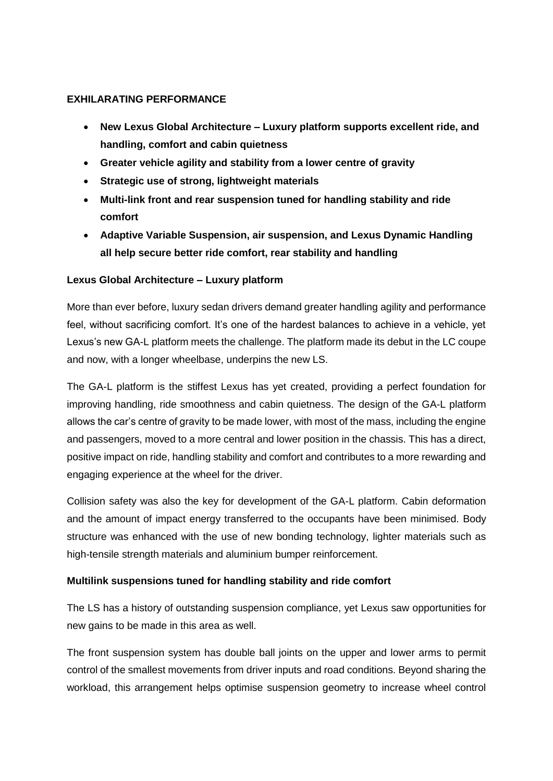### **EXHILARATING PERFORMANCE**

- **New Lexus Global Architecture – Luxury platform supports excellent ride, and handling, comfort and cabin quietness**
- **Greater vehicle agility and stability from a lower centre of gravity**
- **Strategic use of strong, lightweight materials**
- **Multi-link front and rear suspension tuned for handling stability and ride comfort**
- **Adaptive Variable Suspension, air suspension, and Lexus Dynamic Handling all help secure better ride comfort, rear stability and handling**

# **Lexus Global Architecture – Luxury platform**

More than ever before, luxury sedan drivers demand greater handling agility and performance feel, without sacrificing comfort. It's one of the hardest balances to achieve in a vehicle, yet Lexus's new GA-L platform meets the challenge. The platform made its debut in the LC coupe and now, with a longer wheelbase, underpins the new LS.

The GA-L platform is the stiffest Lexus has yet created, providing a perfect foundation for improving handling, ride smoothness and cabin quietness. The design of the GA-L platform allows the car's centre of gravity to be made lower, with most of the mass, including the engine and passengers, moved to a more central and lower position in the chassis. This has a direct, positive impact on ride, handling stability and comfort and contributes to a more rewarding and engaging experience at the wheel for the driver.

Collision safety was also the key for development of the GA-L platform. Cabin deformation and the amount of impact energy transferred to the occupants have been minimised. Body structure was enhanced with the use of new bonding technology, lighter materials such as high-tensile strength materials and aluminium bumper reinforcement.

# **Multilink suspensions tuned for handling stability and ride comfort**

The LS has a history of outstanding suspension compliance, yet Lexus saw opportunities for new gains to be made in this area as well.

The front suspension system has double ball joints on the upper and lower arms to permit control of the smallest movements from driver inputs and road conditions. Beyond sharing the workload, this arrangement helps optimise suspension geometry to increase wheel control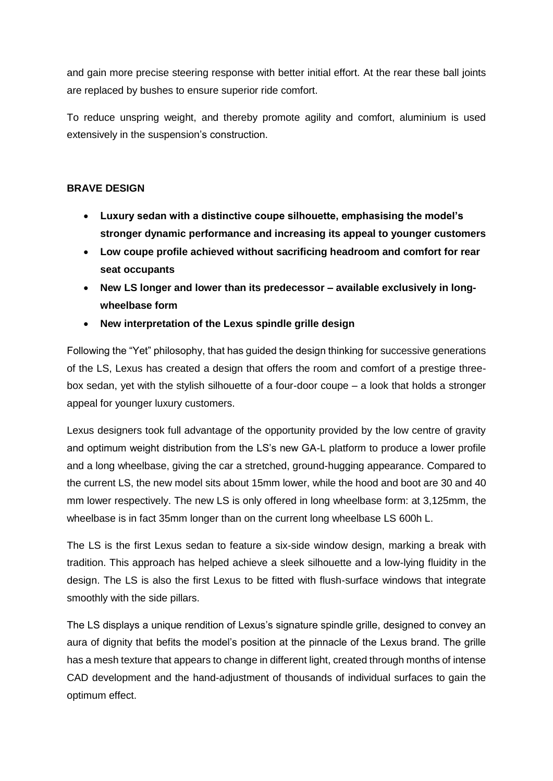and gain more precise steering response with better initial effort. At the rear these ball joints are replaced by bushes to ensure superior ride comfort.

To reduce unspring weight, and thereby promote agility and comfort, aluminium is used extensively in the suspension's construction.

# **BRAVE DESIGN**

- **Luxury sedan with a distinctive coupe silhouette, emphasising the model's stronger dynamic performance and increasing its appeal to younger customers**
- **Low coupe profile achieved without sacrificing headroom and comfort for rear seat occupants**
- **New LS longer and lower than its predecessor – available exclusively in longwheelbase form**
- **New interpretation of the Lexus spindle grille design**

Following the "Yet" philosophy, that has guided the design thinking for successive generations of the LS, Lexus has created a design that offers the room and comfort of a prestige threebox sedan, yet with the stylish silhouette of a four-door coupe – a look that holds a stronger appeal for younger luxury customers.

Lexus designers took full advantage of the opportunity provided by the low centre of gravity and optimum weight distribution from the LS's new GA-L platform to produce a lower profile and a long wheelbase, giving the car a stretched, ground-hugging appearance. Compared to the current LS, the new model sits about 15mm lower, while the hood and boot are 30 and 40 mm lower respectively. The new LS is only offered in long wheelbase form: at 3,125mm, the wheelbase is in fact 35mm longer than on the current long wheelbase LS 600h L.

The LS is the first Lexus sedan to feature a six-side window design, marking a break with tradition. This approach has helped achieve a sleek silhouette and a low-lying fluidity in the design. The LS is also the first Lexus to be fitted with flush-surface windows that integrate smoothly with the side pillars.

The LS displays a unique rendition of Lexus's signature spindle grille, designed to convey an aura of dignity that befits the model's position at the pinnacle of the Lexus brand. The grille has a mesh texture that appears to change in different light, created through months of intense CAD development and the hand-adjustment of thousands of individual surfaces to gain the optimum effect.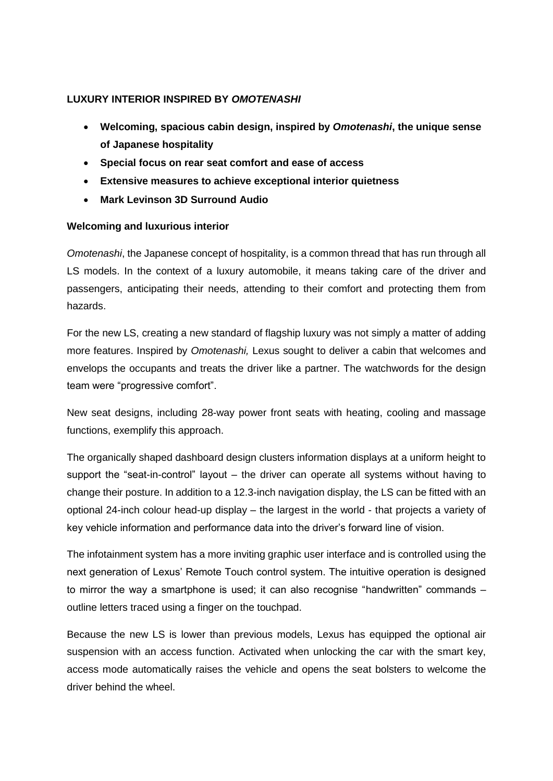### **LUXURY INTERIOR INSPIRED BY** *OMOTENASHI*

- **Welcoming, spacious cabin design, inspired by** *Omotenashi***, the unique sense of Japanese hospitality**
- **Special focus on rear seat comfort and ease of access**
- **Extensive measures to achieve exceptional interior quietness**
- **Mark Levinson 3D Surround Audio**

### **Welcoming and luxurious interior**

*Omotenashi*, the Japanese concept of hospitality, is a common thread that has run through all LS models. In the context of a luxury automobile, it means taking care of the driver and passengers, anticipating their needs, attending to their comfort and protecting them from hazards.

For the new LS, creating a new standard of flagship luxury was not simply a matter of adding more features. Inspired by *Omotenashi,* Lexus sought to deliver a cabin that welcomes and envelops the occupants and treats the driver like a partner. The watchwords for the design team were "progressive comfort".

New seat designs, including 28-way power front seats with heating, cooling and massage functions, exemplify this approach.

The organically shaped dashboard design clusters information displays at a uniform height to support the "seat-in-control" layout – the driver can operate all systems without having to change their posture. In addition to a 12.3-inch navigation display, the LS can be fitted with an optional 24-inch colour head-up display – the largest in the world - that projects a variety of key vehicle information and performance data into the driver's forward line of vision.

The infotainment system has a more inviting graphic user interface and is controlled using the next generation of Lexus' Remote Touch control system. The intuitive operation is designed to mirror the way a smartphone is used; it can also recognise "handwritten" commands – outline letters traced using a finger on the touchpad.

Because the new LS is lower than previous models, Lexus has equipped the optional air suspension with an access function. Activated when unlocking the car with the smart key, access mode automatically raises the vehicle and opens the seat bolsters to welcome the driver behind the wheel.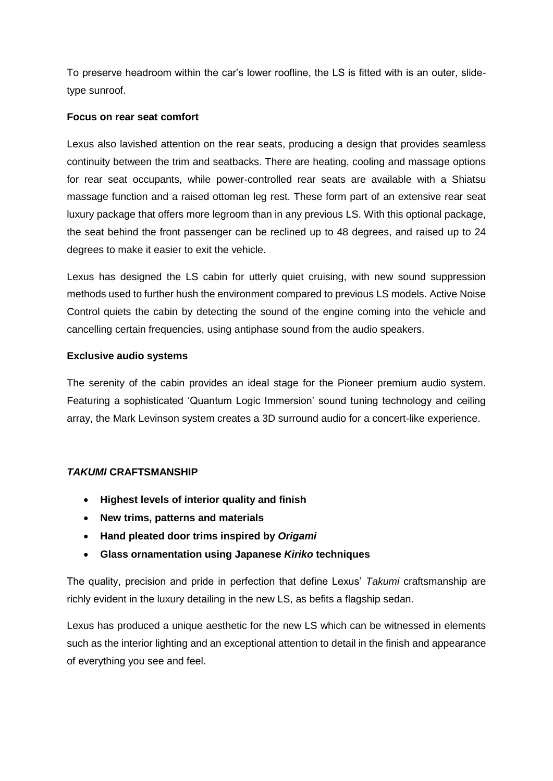To preserve headroom within the car's lower roofline, the LS is fitted with is an outer, slidetype sunroof.

### **Focus on rear seat comfort**

Lexus also lavished attention on the rear seats, producing a design that provides seamless continuity between the trim and seatbacks. There are heating, cooling and massage options for rear seat occupants, while power-controlled rear seats are available with a Shiatsu massage function and a raised ottoman leg rest. These form part of an extensive rear seat luxury package that offers more legroom than in any previous LS. With this optional package, the seat behind the front passenger can be reclined up to 48 degrees, and raised up to 24 degrees to make it easier to exit the vehicle.

Lexus has designed the LS cabin for utterly quiet cruising, with new sound suppression methods used to further hush the environment compared to previous LS models. Active Noise Control quiets the cabin by detecting the sound of the engine coming into the vehicle and cancelling certain frequencies, using antiphase sound from the audio speakers.

### **Exclusive audio systems**

The serenity of the cabin provides an ideal stage for the Pioneer premium audio system. Featuring a sophisticated 'Quantum Logic Immersion' sound tuning technology and ceiling array, the Mark Levinson system creates a 3D surround audio for a concert-like experience.

# *TAKUMI* **CRAFTSMANSHIP**

- **Highest levels of interior quality and finish**
- **New trims, patterns and materials**
- **Hand pleated door trims inspired by** *Origami*
- **Glass ornamentation using Japanese** *Kiriko* **techniques**

The quality, precision and pride in perfection that define Lexus' *Takumi* craftsmanship are richly evident in the luxury detailing in the new LS, as befits a flagship sedan.

Lexus has produced a unique aesthetic for the new LS which can be witnessed in elements such as the interior lighting and an exceptional attention to detail in the finish and appearance of everything you see and feel.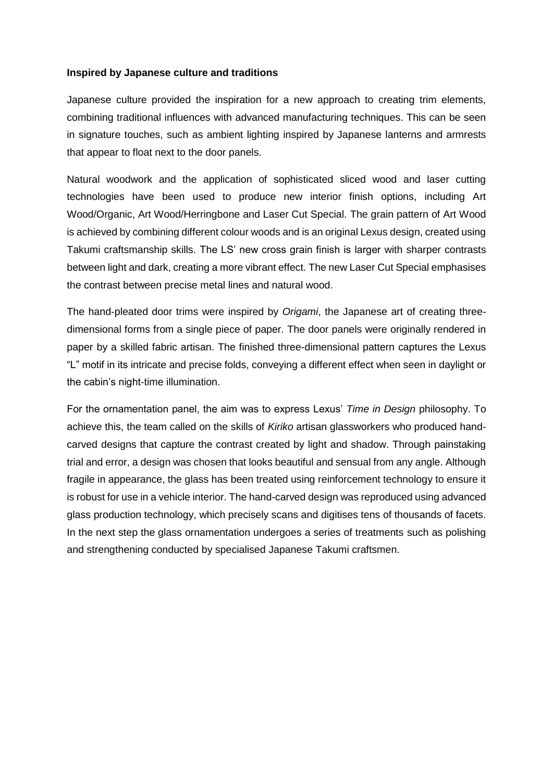#### **Inspired by Japanese culture and traditions**

Japanese culture provided the inspiration for a new approach to creating trim elements, combining traditional influences with advanced manufacturing techniques. This can be seen in signature touches, such as ambient lighting inspired by Japanese lanterns and armrests that appear to float next to the door panels.

Natural woodwork and the application of sophisticated sliced wood and laser cutting technologies have been used to produce new interior finish options, including Art Wood/Organic, Art Wood/Herringbone and Laser Cut Special. The grain pattern of Art Wood is achieved by combining different colour woods and is an original Lexus design, created using Takumi craftsmanship skills. The LS' new cross grain finish is larger with sharper contrasts between light and dark, creating a more vibrant effect. The new Laser Cut Special emphasises the contrast between precise metal lines and natural wood.

The hand-pleated door trims were inspired by *Origami*, the Japanese art of creating threedimensional forms from a single piece of paper. The door panels were originally rendered in paper by a skilled fabric artisan. The finished three-dimensional pattern captures the Lexus "L" motif in its intricate and precise folds, conveying a different effect when seen in daylight or the cabin's night-time illumination.

For the ornamentation panel, the aim was to express Lexus' *Time in Design* philosophy. To achieve this, the team called on the skills of *Kiriko* artisan glassworkers who produced handcarved designs that capture the contrast created by light and shadow. Through painstaking trial and error, a design was chosen that looks beautiful and sensual from any angle. Although fragile in appearance, the glass has been treated using reinforcement technology to ensure it is robust for use in a vehicle interior. The hand-carved design was reproduced using advanced glass production technology, which precisely scans and digitises tens of thousands of facets. In the next step the glass ornamentation undergoes a series of treatments such as polishing and strengthening conducted by specialised Japanese Takumi craftsmen.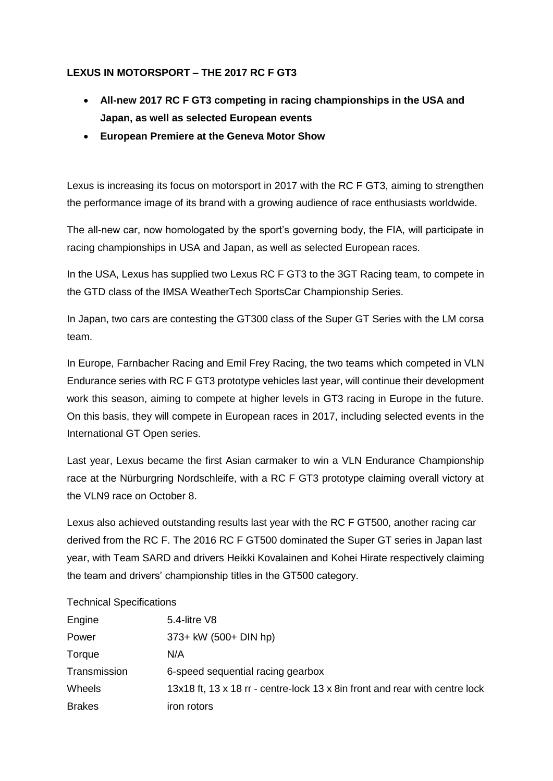# **LEXUS IN MOTORSPORT – THE 2017 RC F GT3**

- **All-new 2017 RC F GT3 competing in racing championships in the USA and Japan, as well as selected European events**
- **European Premiere at the Geneva Motor Show**

Lexus is increasing its focus on motorsport in 2017 with the RC F GT3, aiming to strengthen the performance image of its brand with a growing audience of race enthusiasts worldwide.

The all-new car, now homologated by the sport's governing body, the FIA, will participate in racing championships in USA and Japan, as well as selected European races.

In the USA, Lexus has supplied two Lexus RC F GT3 to the 3GT Racing team, to compete in the GTD class of the IMSA WeatherTech SportsCar Championship Series.

In Japan, two cars are contesting the GT300 class of the Super GT Series with the LM corsa team.

In Europe, Farnbacher Racing and Emil Frey Racing, the two teams which competed in VLN Endurance series with RC F GT3 prototype vehicles last year, will continue their development work this season, aiming to compete at higher levels in GT3 racing in Europe in the future. On this basis, they will compete in European races in 2017, including selected events in the International GT Open series.

Last year, Lexus became the first Asian carmaker to win a VLN Endurance Championship race at the Nürburgring Nordschleife, with a RC F GT3 prototype claiming overall victory at the VLN9 race on October 8.

Lexus also achieved outstanding results last year with the RC F GT500, another racing car derived from the RC F. The 2016 RC F GT500 dominated the Super GT series in Japan last year, with Team SARD and drivers Heikki Kovalainen and Kohei Hirate respectively claiming the team and drivers' championship titles in the GT500 category.

#### Technical Specifications

| Engine        | 5.4-litre $V8$                                                               |
|---------------|------------------------------------------------------------------------------|
| Power         | 373+ kW (500+ DIN hp)                                                        |
| Torque        | N/A                                                                          |
| Transmission  | 6-speed sequential racing gearbox                                            |
| Wheels        | 13x18 ft, 13 x 18 rr - centre-lock 13 x 8 in front and rear with centre lock |
| <b>Brakes</b> | iron rotors                                                                  |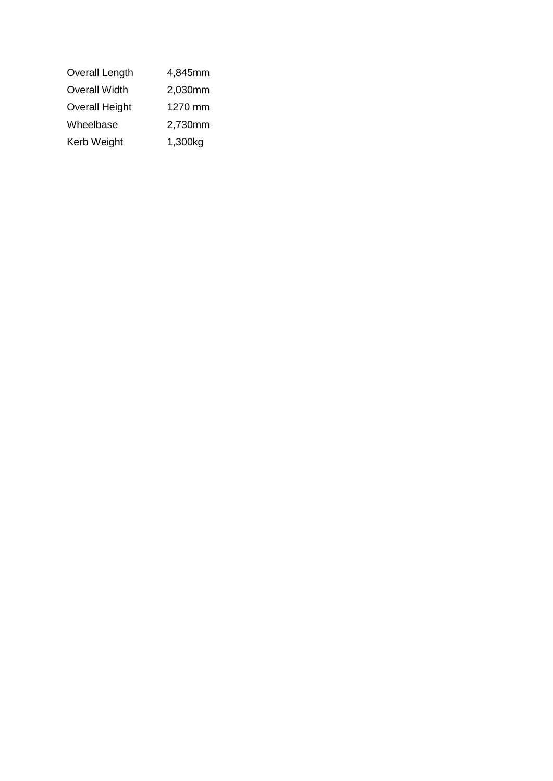| <b>Overall Length</b> | 4,845mm |
|-----------------------|---------|
| <b>Overall Width</b>  | 2,030mm |
| <b>Overall Height</b> | 1270 mm |
| Wheelbase             | 2,730mm |
| Kerb Weight           | 1,300kg |